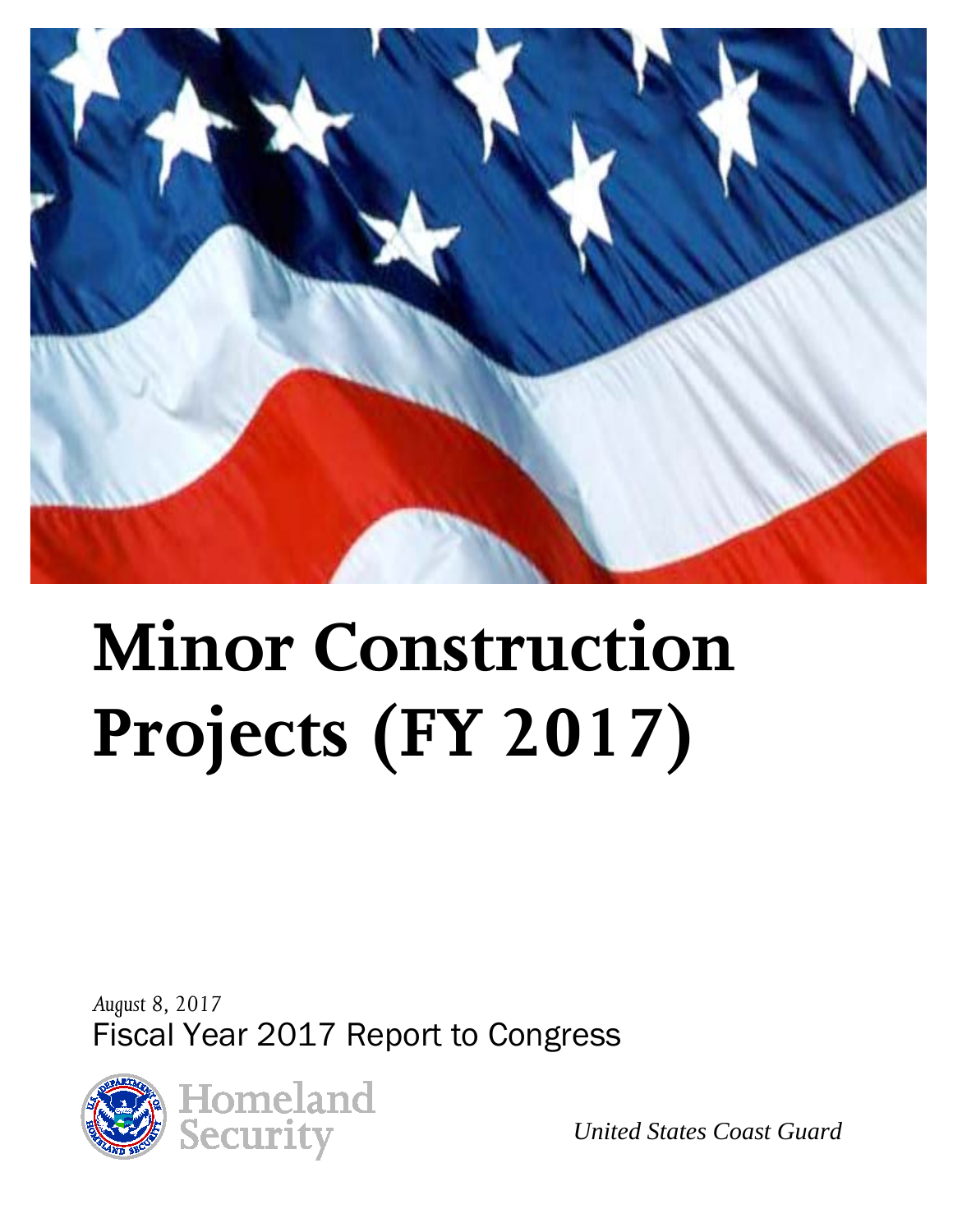

# **Minor Construction Projects (FY 2017)**

*August 8, 2017* Fiscal Year 2017 Report to Congress



*United States Coast Guard*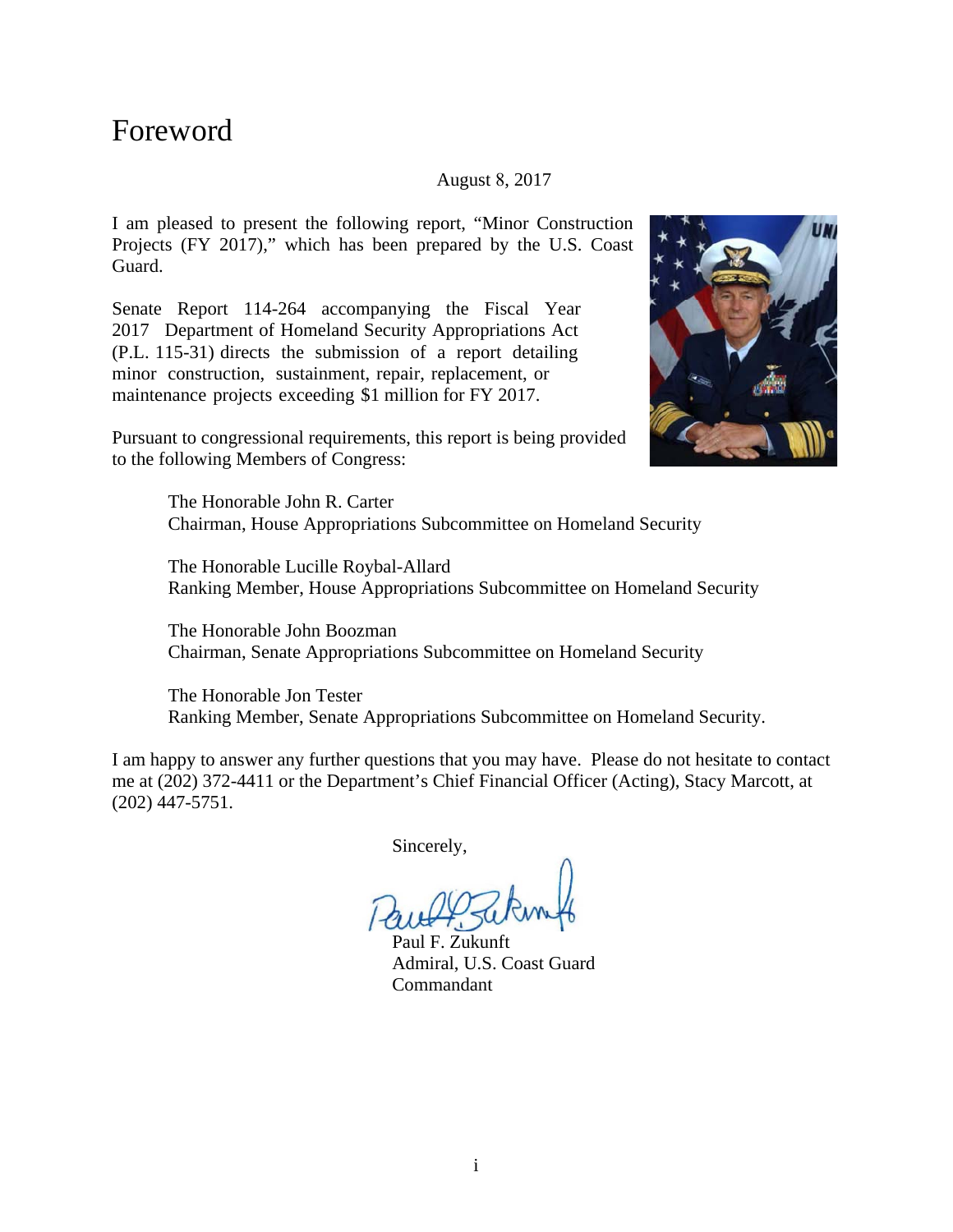#### Foreword

#### August 8, 2017

I am pleased to present the following report, "Minor Construction Projects (FY 2017)," which has been prepared by the U.S. Coast Guard.

Senate Report 114-264 accompanying the Fiscal Year 2017 Department of Homeland Security Appropriations Act (P.L. 115-31) directs the submission of a report detailing minor construction, sustainment, repair, replacement, or maintenance projects exceeding \$1 million for FY 2017.



Pursuant to congressional requirements, this report is being provided to the following Members of Congress:

> The Honorable John R. Carter Chairman, House Appropriations Subcommittee on Homeland Security

The Honorable Lucille Roybal-Allard Ranking Member, House Appropriations Subcommittee on Homeland Security

The Honorable John Boozman Chairman, Senate Appropriations Subcommittee on Homeland Security

The Honorable Jon Tester Ranking Member, Senate Appropriations Subcommittee on Homeland Security.

I am happy to answer any further questions that you may have. Please do not hesitate to contact me at (202) 372-4411 or the Department's Chief Financial Officer (Acting), Stacy Marcott, at (202) 447-5751.

Sincerely,

Paul F. Zukunft Admiral, U.S. Coast Guard Commandant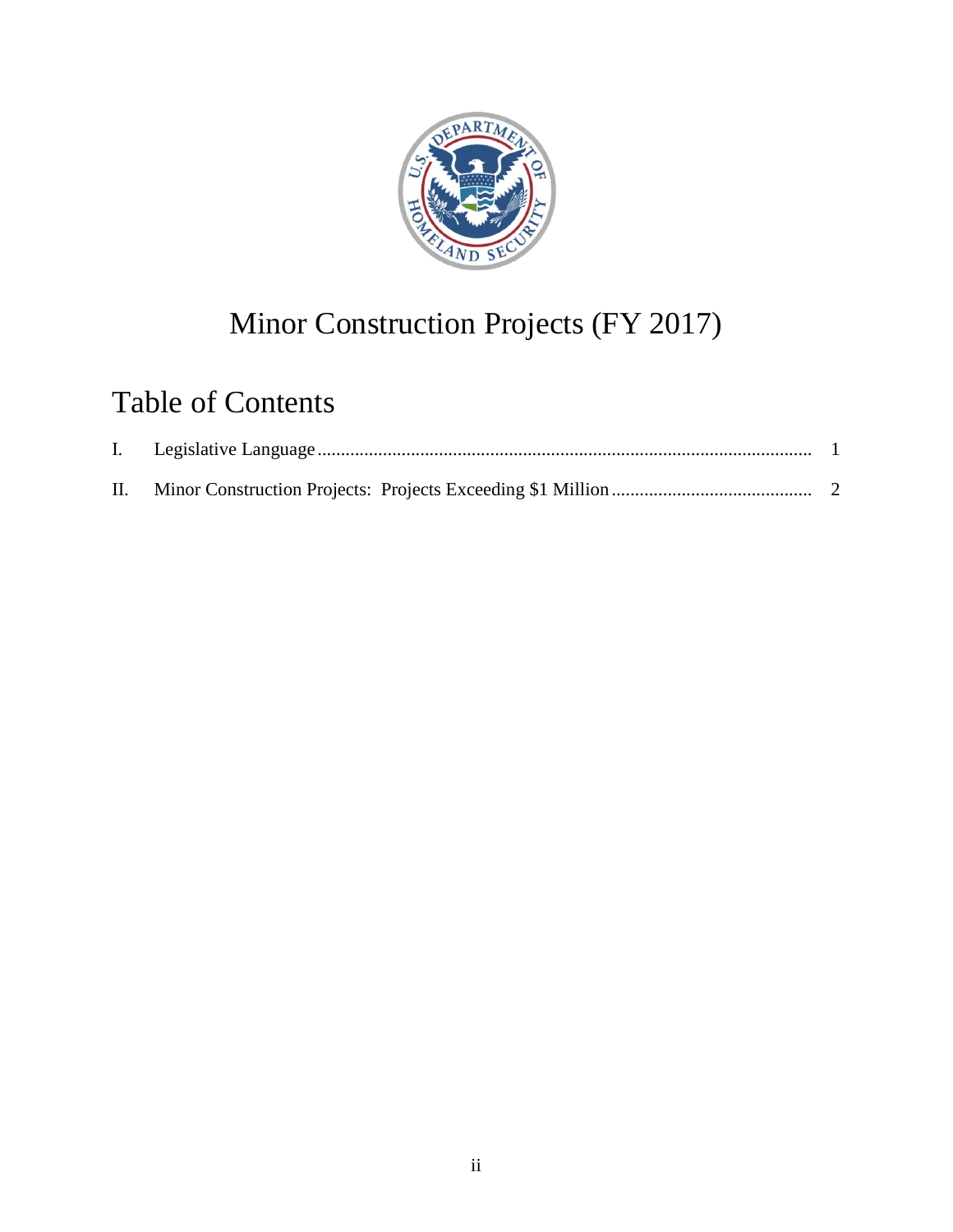

# Minor Construction Projects (FY 2017)

## Table of Contents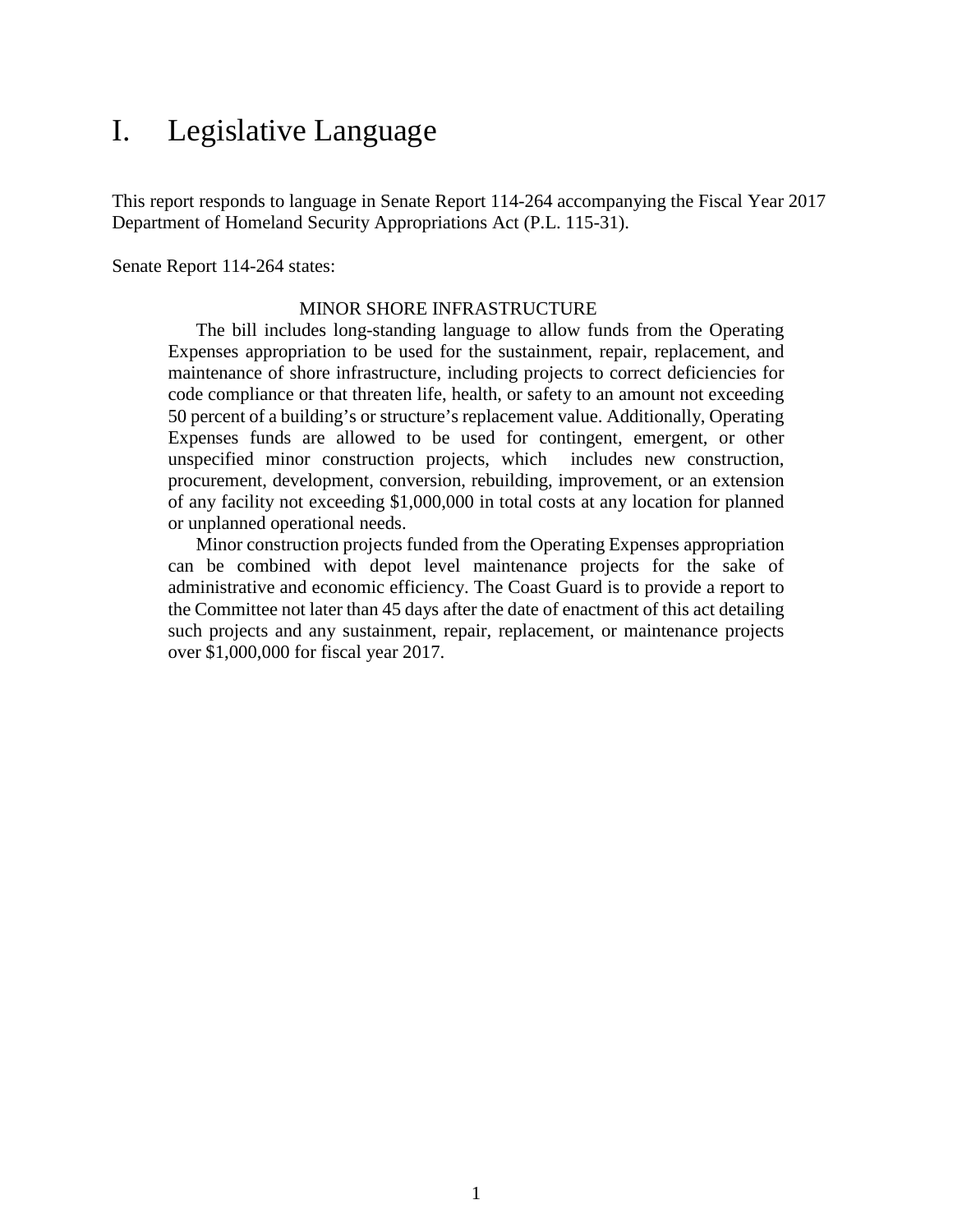### <span id="page-3-0"></span>I. Legislative Language

This report responds to language in Senate Report 114-264 accompanying the Fiscal Year 2017 Department of Homeland Security Appropriations Act (P.L. 115-31).

Senate Report 114-264 states:

#### MINOR SHORE INFRASTRUCTURE

The bill includes long-standing language to allow funds from the Operating Expenses appropriation to be used for the sustainment, repair, replacement, and maintenance of shore infrastructure, including projects to correct deficiencies for code compliance or that threaten life, health, or safety to an amount not exceeding 50 percent of a building's or structure's replacement value. Additionally, Operating Expenses funds are allowed to be used for contingent, emergent, or other unspecified minor construction projects, which includes new construction, procurement, development, conversion, rebuilding, improvement, or an extension of any facility not exceeding \$1,000,000 in total costs at any location for planned or unplanned operational needs.

Minor construction projects funded from the Operating Expenses appropriation can be combined with depot level maintenance projects for the sake of administrative and economic efficiency. The Coast Guard is to provide a report to the Committee not later than 45 days after the date of enactment of this act detailing such projects and any sustainment, repair, replacement, or maintenance projects over \$1,000,000 for fiscal year 2017.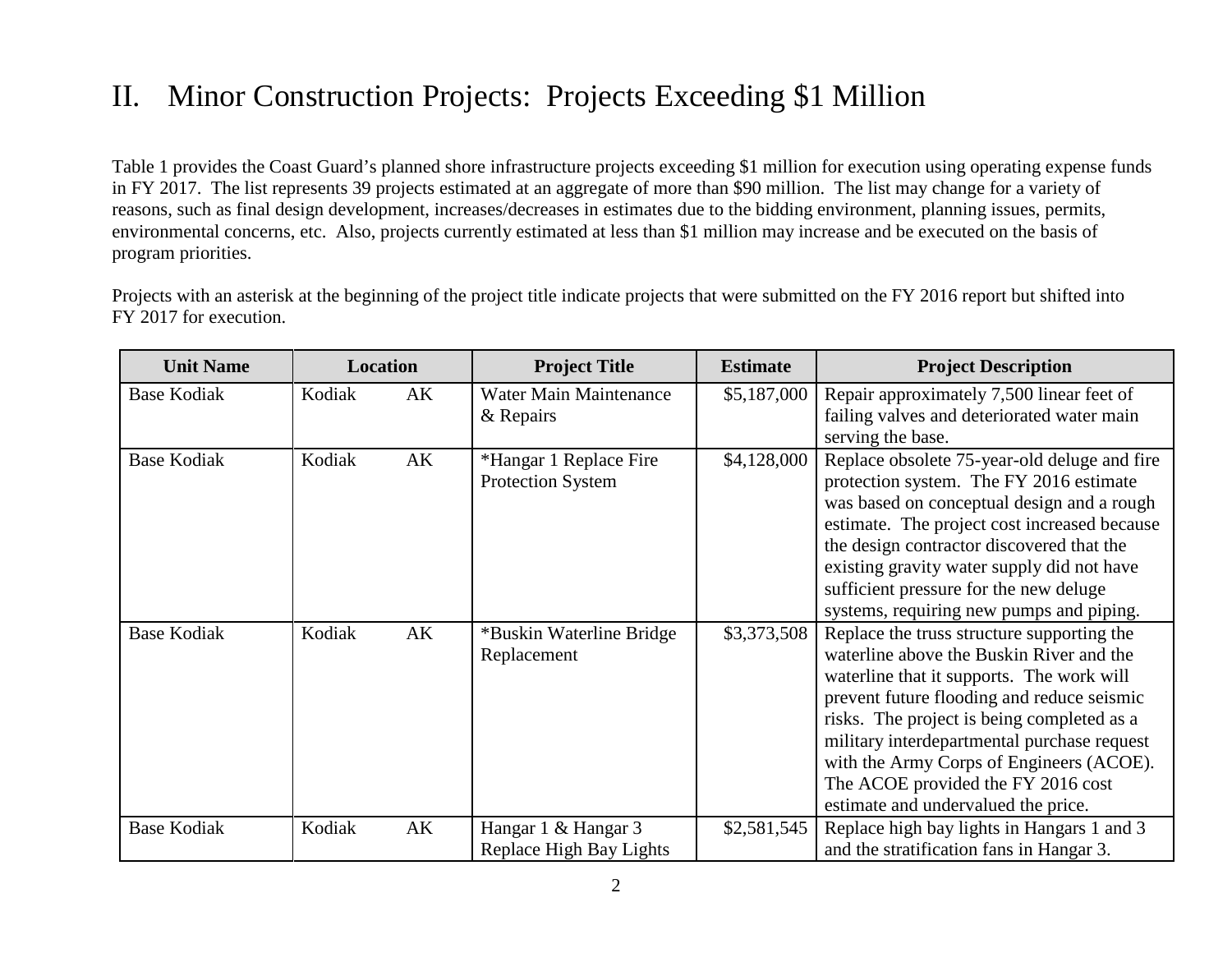## II. Minor Construction Projects: Projects Exceeding \$1 Million

Table 1 provides the Coast Guard's planned shore infrastructure projects exceeding \$1 million for execution using operating expense funds in FY 2017. The list represents 39 projects estimated at an aggregate of more than \$90 million. The list may change for a variety of reasons, such as final design development, increases/decreases in estimates due to the bidding environment, planning issues, permits, environmental concerns, etc. Also, projects currently estimated at less than \$1 million may increase and be executed on the basis of program priorities.

Projects with an asterisk at the beginning of the project title indicate projects that were submitted on the FY 2016 report but shifted into FY 2017 for execution.

<span id="page-4-0"></span>

| <b>Unit Name</b>   |        | <b>Location</b> | <b>Project Title</b>                               | <b>Estimate</b> | <b>Project Description</b>                                                                                                                                                                                                                                                                                                                                                                              |
|--------------------|--------|-----------------|----------------------------------------------------|-----------------|---------------------------------------------------------------------------------------------------------------------------------------------------------------------------------------------------------------------------------------------------------------------------------------------------------------------------------------------------------------------------------------------------------|
| <b>Base Kodiak</b> | Kodiak | AK              | <b>Water Main Maintenance</b><br>& Repairs         | \$5,187,000     | Repair approximately 7,500 linear feet of<br>failing valves and deteriorated water main<br>serving the base.                                                                                                                                                                                                                                                                                            |
| <b>Base Kodiak</b> | Kodiak | AK              | *Hangar 1 Replace Fire<br><b>Protection System</b> | \$4,128,000     | Replace obsolete 75-year-old deluge and fire<br>protection system. The FY 2016 estimate<br>was based on conceptual design and a rough<br>estimate. The project cost increased because<br>the design contractor discovered that the<br>existing gravity water supply did not have<br>sufficient pressure for the new deluge<br>systems, requiring new pumps and piping.                                  |
| <b>Base Kodiak</b> | Kodiak | AK              | *Buskin Waterline Bridge<br>Replacement            | \$3,373,508     | Replace the truss structure supporting the<br>waterline above the Buskin River and the<br>waterline that it supports. The work will<br>prevent future flooding and reduce seismic<br>risks. The project is being completed as a<br>military interdepartmental purchase request<br>with the Army Corps of Engineers (ACOE).<br>The ACOE provided the FY 2016 cost<br>estimate and undervalued the price. |
| <b>Base Kodiak</b> | Kodiak | AK              | Hangar 1 & Hangar 3<br>Replace High Bay Lights     | \$2,581,545     | Replace high bay lights in Hangars 1 and 3<br>and the stratification fans in Hangar 3.                                                                                                                                                                                                                                                                                                                  |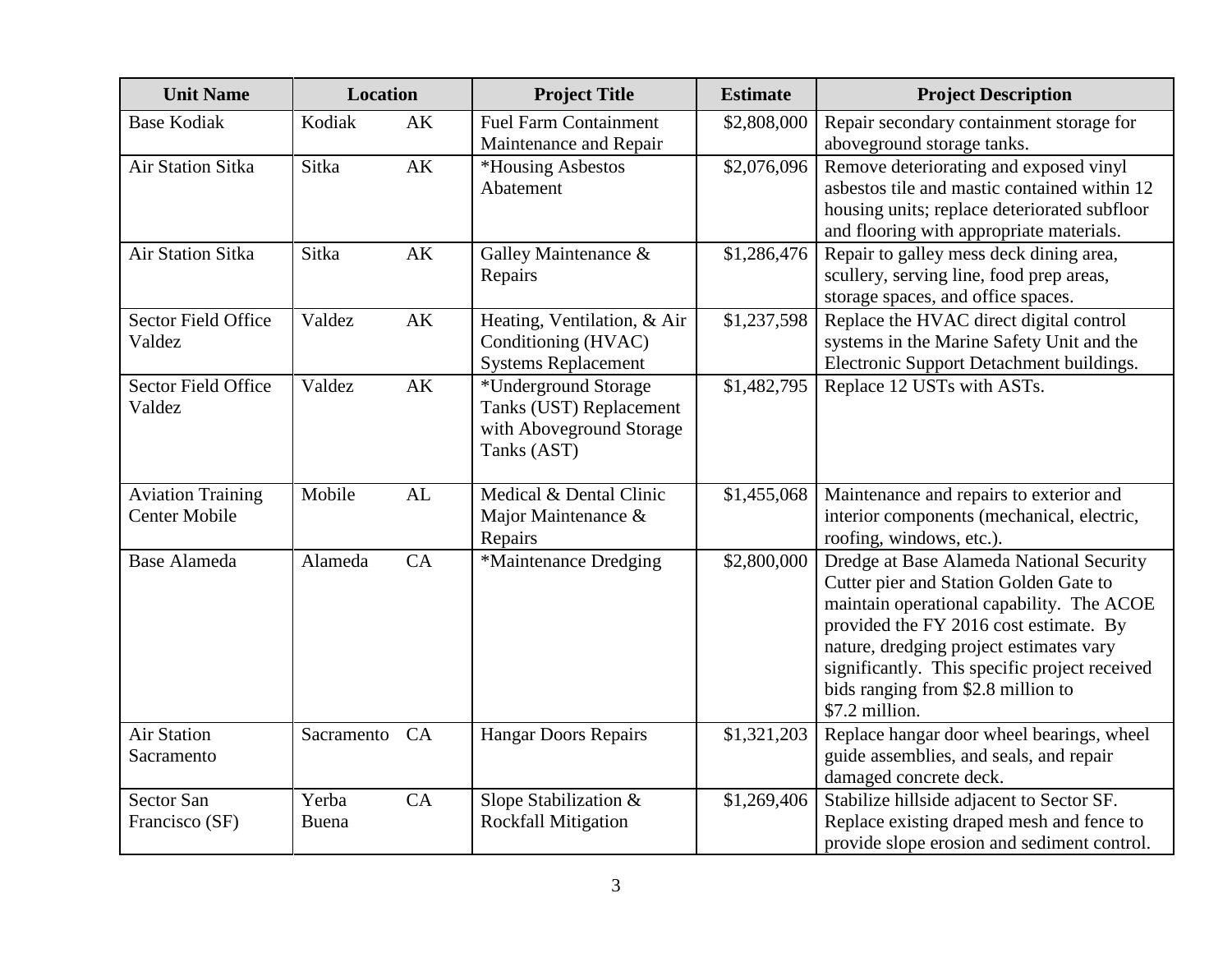| <b>Unit Name</b>                                 | <b>Location</b> |    | <b>Project Title</b>                                                                       | <b>Estimate</b> | <b>Project Description</b>                                                                                                                                                                                                                                                                                                    |
|--------------------------------------------------|-----------------|----|--------------------------------------------------------------------------------------------|-----------------|-------------------------------------------------------------------------------------------------------------------------------------------------------------------------------------------------------------------------------------------------------------------------------------------------------------------------------|
| <b>Base Kodiak</b>                               | Kodiak          | AK | <b>Fuel Farm Containment</b><br>Maintenance and Repair                                     | \$2,808,000     | Repair secondary containment storage for<br>aboveground storage tanks.                                                                                                                                                                                                                                                        |
| <b>Air Station Sitka</b>                         | Sitka           | AK | *Housing Asbestos<br>Abatement                                                             | \$2,076,096     | Remove deteriorating and exposed vinyl<br>asbestos tile and mastic contained within 12<br>housing units; replace deteriorated subfloor<br>and flooring with appropriate materials.                                                                                                                                            |
| <b>Air Station Sitka</b>                         | Sitka           | AK | Galley Maintenance &<br>Repairs                                                            | \$1,286,476     | Repair to galley mess deck dining area,<br>scullery, serving line, food prep areas,<br>storage spaces, and office spaces.                                                                                                                                                                                                     |
| <b>Sector Field Office</b><br>Valdez             | Valdez          | AK | Heating, Ventilation, & Air<br>Conditioning (HVAC)<br><b>Systems Replacement</b>           | \$1,237,598     | Replace the HVAC direct digital control<br>systems in the Marine Safety Unit and the<br>Electronic Support Detachment buildings.                                                                                                                                                                                              |
| <b>Sector Field Office</b><br>Valdez             | Valdez          | AK | *Underground Storage<br>Tanks (UST) Replacement<br>with Aboveground Storage<br>Tanks (AST) | \$1,482,795     | Replace 12 USTs with ASTs.                                                                                                                                                                                                                                                                                                    |
| <b>Aviation Training</b><br><b>Center Mobile</b> | Mobile          | AL | Medical & Dental Clinic<br>Major Maintenance &<br>Repairs                                  | \$1,455,068     | Maintenance and repairs to exterior and<br>interior components (mechanical, electric,<br>roofing, windows, etc.).                                                                                                                                                                                                             |
| <b>Base Alameda</b>                              | Alameda         | CA | *Maintenance Dredging                                                                      | \$2,800,000     | Dredge at Base Alameda National Security<br>Cutter pier and Station Golden Gate to<br>maintain operational capability. The ACOE<br>provided the FY 2016 cost estimate. By<br>nature, dredging project estimates vary<br>significantly. This specific project received<br>bids ranging from \$2.8 million to<br>\$7.2 million. |
| <b>Air Station</b><br>Sacramento                 | Sacramento      | CA | <b>Hangar Doors Repairs</b>                                                                | \$1,321,203     | Replace hangar door wheel bearings, wheel<br>guide assemblies, and seals, and repair<br>damaged concrete deck.                                                                                                                                                                                                                |
| <b>Sector San</b><br>Francisco (SF)              | Yerba<br>Buena  | CA | Slope Stabilization &<br><b>Rockfall Mitigation</b>                                        | \$1,269,406     | Stabilize hillside adjacent to Sector SF.<br>Replace existing draped mesh and fence to<br>provide slope erosion and sediment control.                                                                                                                                                                                         |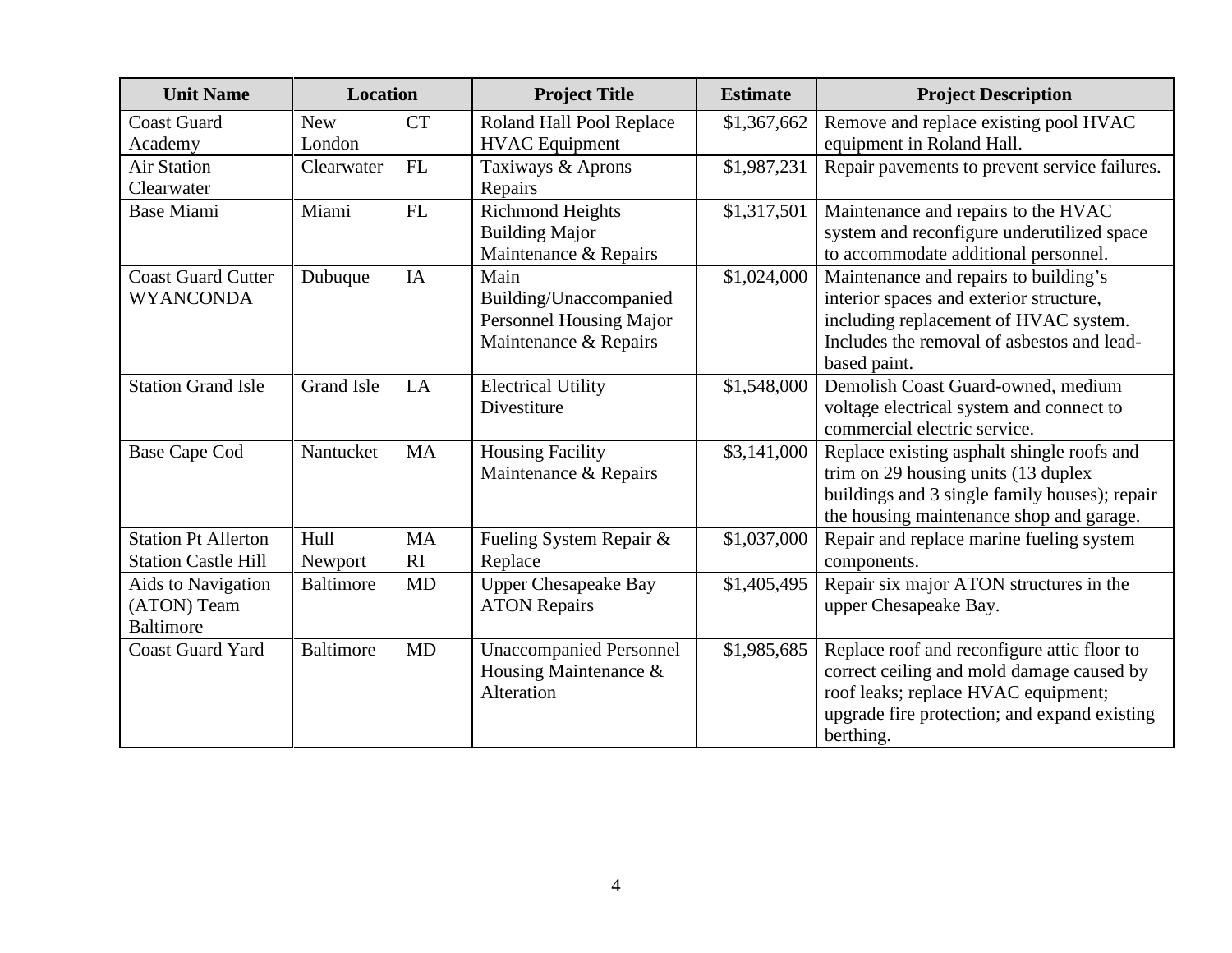| <b>Unit Name</b>                                         | Location             |                            | <b>Project Title</b>                                                               | <b>Estimate</b> | <b>Project Description</b>                                                                                                                                                                   |
|----------------------------------------------------------|----------------------|----------------------------|------------------------------------------------------------------------------------|-----------------|----------------------------------------------------------------------------------------------------------------------------------------------------------------------------------------------|
| <b>Coast Guard</b><br>Academy                            | <b>New</b><br>London | <b>CT</b>                  | Roland Hall Pool Replace<br><b>HVAC</b> Equipment                                  | \$1,367,662     | Remove and replace existing pool HVAC<br>equipment in Roland Hall.                                                                                                                           |
| <b>Air Station</b><br>Clearwater                         | Clearwater           | FL                         | Taxiways & Aprons<br>Repairs                                                       | \$1,987,231     | Repair pavements to prevent service failures.                                                                                                                                                |
| <b>Base Miami</b>                                        | Miami                | FL                         | <b>Richmond Heights</b><br><b>Building Major</b><br>Maintenance & Repairs          | \$1,317,501     | Maintenance and repairs to the HVAC<br>system and reconfigure underutilized space<br>to accommodate additional personnel.                                                                    |
| <b>Coast Guard Cutter</b><br><b>WYANCONDA</b>            | Dubuque              | IA                         | Main<br>Building/Unaccompanied<br>Personnel Housing Major<br>Maintenance & Repairs | \$1,024,000     | Maintenance and repairs to building's<br>interior spaces and exterior structure,<br>including replacement of HVAC system.<br>Includes the removal of asbestos and lead-<br>based paint.      |
| <b>Station Grand Isle</b>                                | <b>Grand Isle</b>    | LA                         | <b>Electrical Utility</b><br>Divestiture                                           | \$1,548,000     | Demolish Coast Guard-owned, medium<br>voltage electrical system and connect to<br>commercial electric service.                                                                               |
| <b>Base Cape Cod</b>                                     | Nantucket            | <b>MA</b>                  | <b>Housing Facility</b><br>Maintenance & Repairs                                   | \$3,141,000     | Replace existing asphalt shingle roofs and<br>trim on 29 housing units (13 duplex<br>buildings and 3 single family houses); repair<br>the housing maintenance shop and garage.               |
| <b>Station Pt Allerton</b><br><b>Station Castle Hill</b> | Hull<br>Newport      | <b>MA</b><br><sub>RI</sub> | Fueling System Repair &<br>Replace                                                 | \$1,037,000     | Repair and replace marine fueling system<br>components.                                                                                                                                      |
| Aids to Navigation<br>(ATON) Team<br><b>Baltimore</b>    | <b>Baltimore</b>     | <b>MD</b>                  | <b>Upper Chesapeake Bay</b><br><b>ATON Repairs</b>                                 | \$1,405,495     | Repair six major ATON structures in the<br>upper Chesapeake Bay.                                                                                                                             |
| <b>Coast Guard Yard</b>                                  | <b>Baltimore</b>     | <b>MD</b>                  | <b>Unaccompanied Personnel</b><br>Housing Maintenance &<br>Alteration              | \$1,985,685     | Replace roof and reconfigure attic floor to<br>correct ceiling and mold damage caused by<br>roof leaks; replace HVAC equipment;<br>upgrade fire protection; and expand existing<br>berthing. |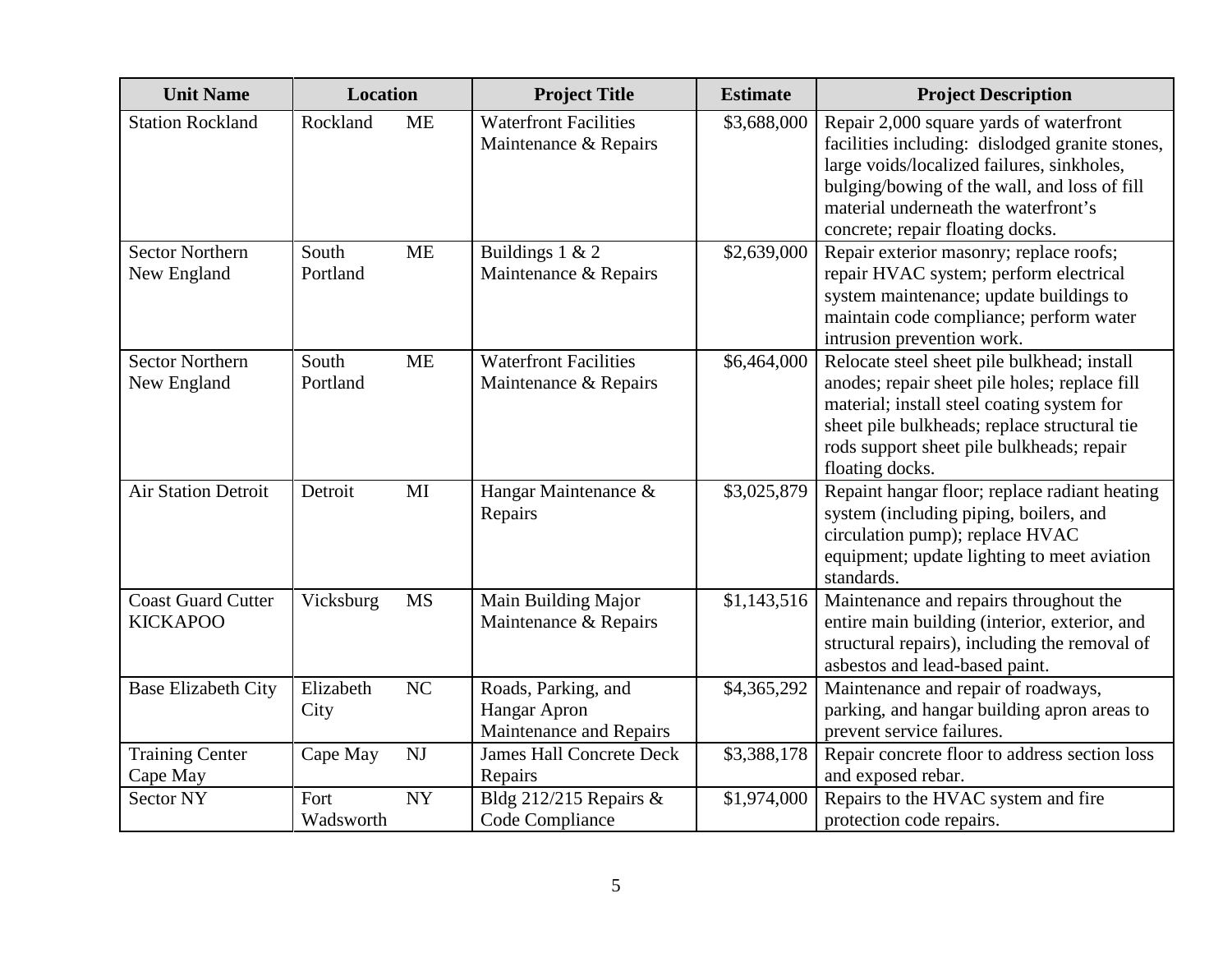| <b>Unit Name</b>                             | <b>Location</b>   |           | <b>Project Title</b>                                           | <b>Estimate</b> | <b>Project Description</b>                                                                                                                                                                                                                                           |
|----------------------------------------------|-------------------|-----------|----------------------------------------------------------------|-----------------|----------------------------------------------------------------------------------------------------------------------------------------------------------------------------------------------------------------------------------------------------------------------|
| <b>Station Rockland</b>                      | Rockland          | <b>ME</b> | <b>Waterfront Facilities</b><br>Maintenance & Repairs          | \$3,688,000     | Repair 2,000 square yards of waterfront<br>facilities including: dislodged granite stones,<br>large voids/localized failures, sinkholes,<br>bulging/bowing of the wall, and loss of fill<br>material underneath the waterfront's<br>concrete; repair floating docks. |
| <b>Sector Northern</b><br>New England        | South<br>Portland | <b>ME</b> | Buildings $1 & 2$<br>Maintenance & Repairs                     | \$2,639,000     | Repair exterior masonry; replace roofs;<br>repair HVAC system; perform electrical<br>system maintenance; update buildings to<br>maintain code compliance; perform water<br>intrusion prevention work.                                                                |
| <b>Sector Northern</b><br>New England        | South<br>Portland | <b>ME</b> | <b>Waterfront Facilities</b><br>Maintenance & Repairs          | \$6,464,000     | Relocate steel sheet pile bulkhead; install<br>anodes; repair sheet pile holes; replace fill<br>material; install steel coating system for<br>sheet pile bulkheads; replace structural tie<br>rods support sheet pile bulkheads; repair<br>floating docks.           |
| <b>Air Station Detroit</b>                   | Detroit           | MI        | Hangar Maintenance &<br>Repairs                                | \$3,025,879     | Repaint hangar floor; replace radiant heating<br>system (including piping, boilers, and<br>circulation pump); replace HVAC<br>equipment; update lighting to meet aviation<br>standards.                                                                              |
| <b>Coast Guard Cutter</b><br><b>KICKAPOO</b> | Vicksburg         | <b>MS</b> | Main Building Major<br>Maintenance & Repairs                   | \$1,143,516     | Maintenance and repairs throughout the<br>entire main building (interior, exterior, and<br>structural repairs), including the removal of<br>asbestos and lead-based paint.                                                                                           |
| <b>Base Elizabeth City</b>                   | Elizabeth<br>City | NC        | Roads, Parking, and<br>Hangar Apron<br>Maintenance and Repairs | \$4,365,292     | Maintenance and repair of roadways,<br>parking, and hangar building apron areas to<br>prevent service failures.                                                                                                                                                      |
| <b>Training Center</b><br>Cape May           | Cape May          | NJ        | <b>James Hall Concrete Deck</b><br>Repairs                     | \$3,388,178     | Repair concrete floor to address section loss<br>and exposed rebar.                                                                                                                                                                                                  |
| <b>Sector NY</b>                             | Fort<br>Wadsworth | <b>NY</b> | Bldg 212/215 Repairs &<br>Code Compliance                      | \$1,974,000     | Repairs to the HVAC system and fire<br>protection code repairs.                                                                                                                                                                                                      |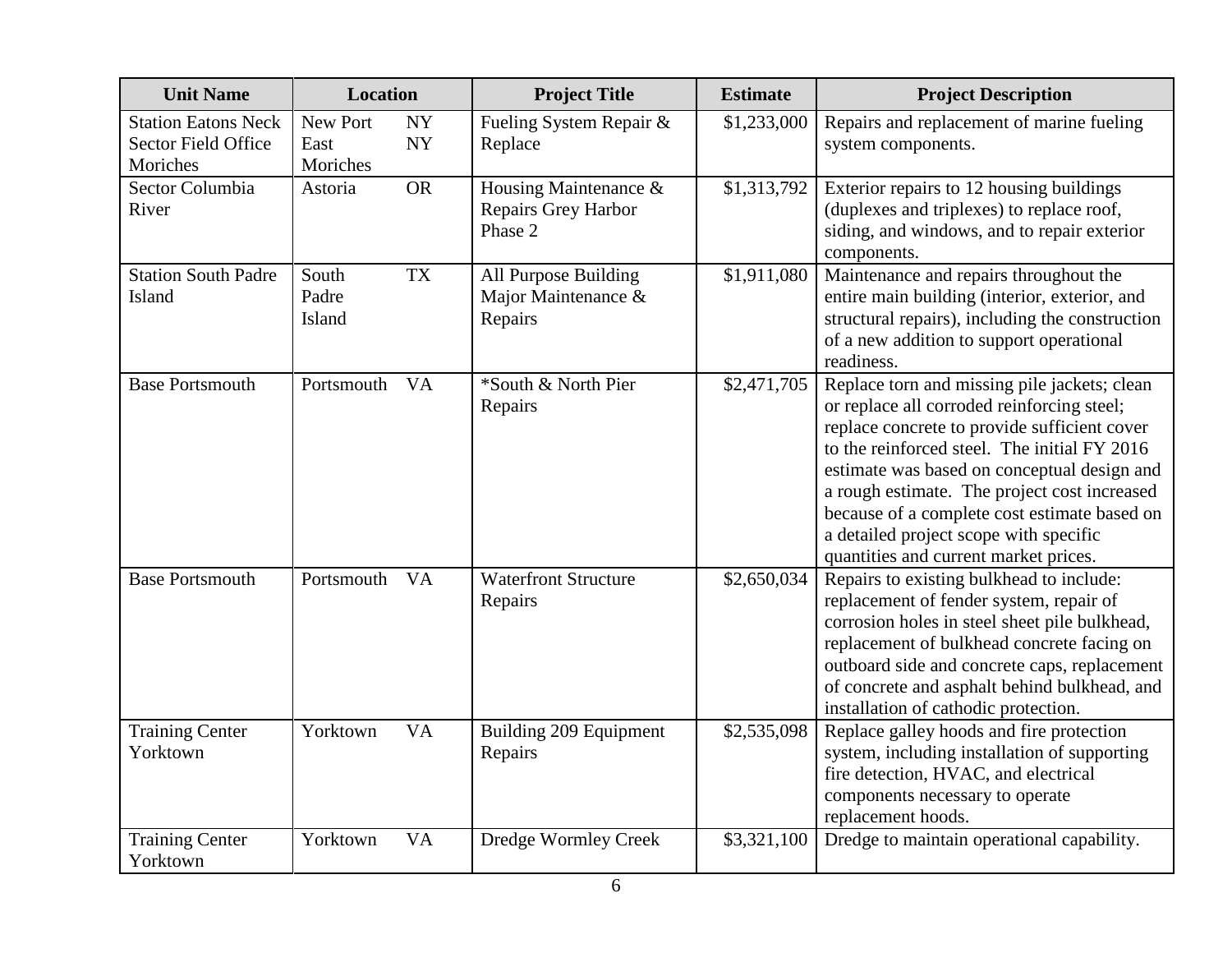| <b>Unit Name</b>                                                     | <b>Location</b>              |                 | <b>Project Title</b>                                    | <b>Estimate</b> | <b>Project Description</b>                                                                                                                                                                                                                                                                                                                                                                                                   |
|----------------------------------------------------------------------|------------------------------|-----------------|---------------------------------------------------------|-----------------|------------------------------------------------------------------------------------------------------------------------------------------------------------------------------------------------------------------------------------------------------------------------------------------------------------------------------------------------------------------------------------------------------------------------------|
| <b>Station Eatons Neck</b><br><b>Sector Field Office</b><br>Moriches | New Port<br>East<br>Moriches | NY<br><b>NY</b> | Fueling System Repair &<br>Replace                      | \$1,233,000     | Repairs and replacement of marine fueling<br>system components.                                                                                                                                                                                                                                                                                                                                                              |
| Sector Columbia<br>River                                             | Astoria                      | <b>OR</b>       | Housing Maintenance &<br>Repairs Grey Harbor<br>Phase 2 | \$1,313,792     | Exterior repairs to 12 housing buildings<br>(duplexes and triplexes) to replace roof,<br>siding, and windows, and to repair exterior<br>components.                                                                                                                                                                                                                                                                          |
| <b>Station South Padre</b><br>Island                                 | South<br>Padre<br>Island     | <b>TX</b>       | All Purpose Building<br>Major Maintenance &<br>Repairs  | \$1,911,080     | Maintenance and repairs throughout the<br>entire main building (interior, exterior, and<br>structural repairs), including the construction<br>of a new addition to support operational<br>readiness.                                                                                                                                                                                                                         |
| <b>Base Portsmouth</b>                                               | Portsmouth                   | <b>VA</b>       | *South & North Pier<br>Repairs                          | \$2,471,705     | Replace torn and missing pile jackets; clean<br>or replace all corroded reinforcing steel;<br>replace concrete to provide sufficient cover<br>to the reinforced steel. The initial FY 2016<br>estimate was based on conceptual design and<br>a rough estimate. The project cost increased<br>because of a complete cost estimate based on<br>a detailed project scope with specific<br>quantities and current market prices. |
| <b>Base Portsmouth</b>                                               | Portsmouth                   | <b>VA</b>       | <b>Waterfront Structure</b><br>Repairs                  | \$2,650,034     | Repairs to existing bulkhead to include:<br>replacement of fender system, repair of<br>corrosion holes in steel sheet pile bulkhead,<br>replacement of bulkhead concrete facing on<br>outboard side and concrete caps, replacement<br>of concrete and asphalt behind bulkhead, and<br>installation of cathodic protection.                                                                                                   |
| <b>Training Center</b><br>Yorktown                                   | Yorktown                     | <b>VA</b>       | Building 209 Equipment<br>Repairs                       | \$2,535,098     | Replace galley hoods and fire protection<br>system, including installation of supporting<br>fire detection, HVAC, and electrical<br>components necessary to operate<br>replacement hoods.                                                                                                                                                                                                                                    |
| <b>Training Center</b><br>Yorktown                                   | Yorktown                     | <b>VA</b>       | Dredge Wormley Creek                                    | \$3,321,100     | Dredge to maintain operational capability.                                                                                                                                                                                                                                                                                                                                                                                   |